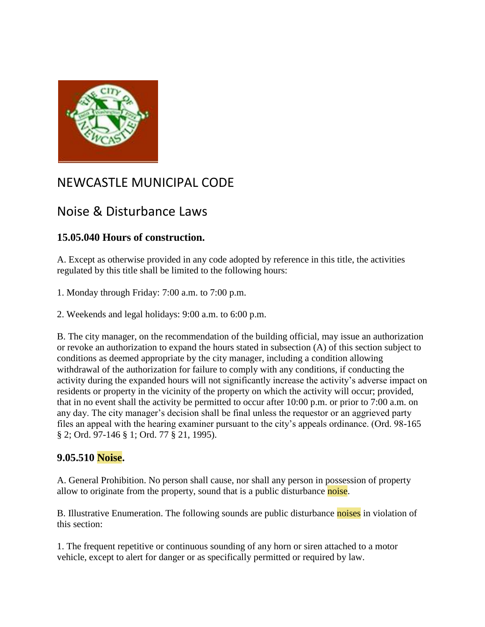

## NEWCASTLE MUNICIPAL CODE

## Noise & Disturbance Laws

## **15.05.040 Hours of construction.**

A. Except as otherwise provided in any code adopted by reference in this title, the activities regulated by this title shall be limited to the following hours:

1. Monday through Friday: 7:00 a.m. to 7:00 p.m.

2. Weekends and legal holidays: 9:00 a.m. to 6:00 p.m.

B. The city manager, on the recommendation of the building official, may issue an authorization or revoke an authorization to expand the hours stated in subsection (A) of this section subject to conditions as deemed appropriate by the city manager, including a condition allowing withdrawal of the authorization for failure to comply with any conditions, if conducting the activity during the expanded hours will not significantly increase the activity's adverse impact on residents or property in the vicinity of the property on which the activity will occur; provided, that in no event shall the activity be permitted to occur after 10:00 p.m. or prior to 7:00 a.m. on any day. The city manager's decision shall be final unless the requestor or an aggrieved party files an appeal with the hearing examiner pursuant to the city's appeals ordinance. (Ord. 98-165 § 2; Ord. 97-146 § 1; Ord. 77 § 21, 1995).

## **9.05.510 Noise.**

A. General Prohibition. No person shall cause, nor shall any person in possession of property allow to originate from the property, sound that is a public disturbance noise.

B. Illustrative Enumeration. The following sounds are public disturbance noises in violation of this section:

1. The frequent repetitive or continuous sounding of any horn or siren attached to a motor vehicle, except to alert for danger or as specifically permitted or required by law.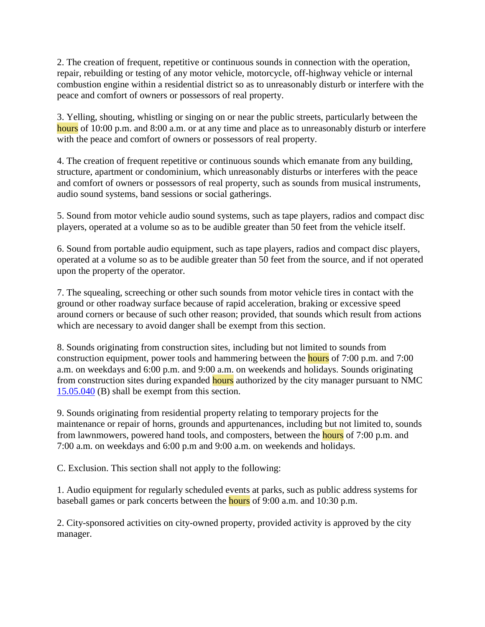2. The creation of frequent, repetitive or continuous sounds in connection with the operation, repair, rebuilding or testing of any motor vehicle, motorcycle, off-highway vehicle or internal combustion engine within a residential district so as to unreasonably disturb or interfere with the peace and comfort of owners or possessors of real property.

3. Yelling, shouting, whistling or singing on or near the public streets, particularly between the hours of 10:00 p.m. and 8:00 a.m. or at any time and place as to unreasonably disturb or interfere with the peace and comfort of owners or possessors of real property.

4. The creation of frequent repetitive or continuous sounds which emanate from any building, structure, apartment or condominium, which unreasonably disturbs or interferes with the peace and comfort of owners or possessors of real property, such as sounds from musical instruments, audio sound systems, band sessions or social gatherings.

5. Sound from motor vehicle audio sound systems, such as tape players, radios and compact disc players, operated at a volume so as to be audible greater than 50 feet from the vehicle itself.

6. Sound from portable audio equipment, such as tape players, radios and compact disc players, operated at a volume so as to be audible greater than 50 feet from the source, and if not operated upon the property of the operator.

7. The squealing, screeching or other such sounds from motor vehicle tires in contact with the ground or other roadway surface because of rapid acceleration, braking or excessive speed around corners or because of such other reason; provided, that sounds which result from actions which are necessary to avoid danger shall be exempt from this section.

8. Sounds originating from construction sites, including but not limited to sounds from construction equipment, power tools and hammering between the hours of 7:00 p.m. and 7:00 a.m. on weekdays and 6:00 p.m. and 9:00 a.m. on weekends and holidays. Sounds originating from construction sites during expanded **hours** authorized by the city manager pursuant to NMC [15.05.040](http://srch.mrsc.org:8080/code/DocView/newcastlemc/newca15.html#15.05.040) (B) shall be exempt from this section.

9. Sounds originating from residential property relating to temporary projects for the maintenance or repair of horns, grounds and appurtenances, including but not limited to, sounds from lawnmowers, powered hand tools, and composters, between the hours of 7:00 p.m. and 7:00 a.m. on weekdays and 6:00 p.m and 9:00 a.m. on weekends and holidays.

C. Exclusion. This section shall not apply to the following:

1. Audio equipment for regularly scheduled events at parks, such as public address systems for baseball games or park concerts between the **hours** of 9:00 a.m. and 10:30 p.m.

2. City-sponsored activities on city-owned property, provided activity is approved by the city manager.